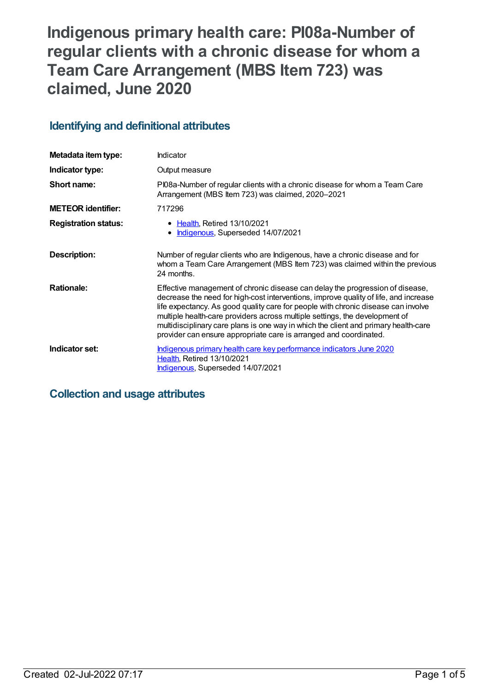# **Indigenous primary health care: PI08a-Number of regular clients with a chronic disease for whom a Team Care Arrangement (MBS Item 723) was claimed, June 2020**

# **Identifying and definitional attributes**

| Metadata item type:         | <b>Indicator</b>                                                                                                                                                                                                                                                                                                                                                                                                                                                                                      |
|-----------------------------|-------------------------------------------------------------------------------------------------------------------------------------------------------------------------------------------------------------------------------------------------------------------------------------------------------------------------------------------------------------------------------------------------------------------------------------------------------------------------------------------------------|
| Indicator type:             | Output measure                                                                                                                                                                                                                                                                                                                                                                                                                                                                                        |
| Short name:                 | PI08a-Number of regular clients with a chronic disease for whom a Team Care<br>Arrangement (MBS Item 723) was claimed, 2020-2021                                                                                                                                                                                                                                                                                                                                                                      |
| <b>METEOR identifier:</b>   | 717296                                                                                                                                                                                                                                                                                                                                                                                                                                                                                                |
| <b>Registration status:</b> | • Health, Retired 13/10/2021<br>Indigenous, Superseded 14/07/2021                                                                                                                                                                                                                                                                                                                                                                                                                                     |
| Description:                | Number of regular clients who are Indigenous, have a chronic disease and for<br>whom a Team Care Arrangement (MBS Item 723) was claimed within the previous<br>24 months.                                                                                                                                                                                                                                                                                                                             |
| <b>Rationale:</b>           | Effective management of chronic disease can delay the progression of disease,<br>decrease the need for high-cost interventions, improve quality of life, and increase<br>life expectancy. As good quality care for people with chronic disease can involve<br>multiple health-care providers across multiple settings, the development of<br>multidisciplinary care plans is one way in which the client and primary health-care<br>provider can ensure appropriate care is arranged and coordinated. |
| Indicator set:              | Indigenous primary health care key performance indicators June 2020<br><b>Health, Retired 13/10/2021</b><br>Indigenous, Superseded 14/07/2021                                                                                                                                                                                                                                                                                                                                                         |

## **Collection and usage attributes**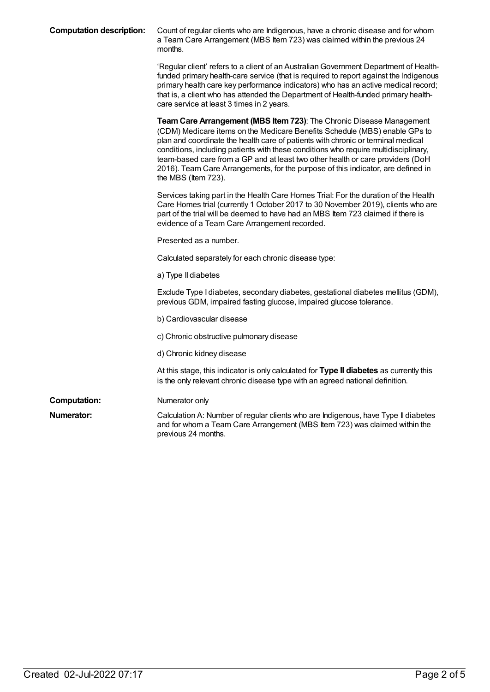| <b>Computation description:</b> | Count of regular clients who are Indigenous, have a chronic disease and for whom<br>a Team Care Arrangement (MBS Item 723) was claimed within the previous 24<br>months.                                                                                                                                                                                                                                                                                                                                                   |
|---------------------------------|----------------------------------------------------------------------------------------------------------------------------------------------------------------------------------------------------------------------------------------------------------------------------------------------------------------------------------------------------------------------------------------------------------------------------------------------------------------------------------------------------------------------------|
|                                 | 'Regular client' refers to a client of an Australian Government Department of Health-<br>funded primary health-care service (that is required to report against the Indigenous<br>primary health care key performance indicators) who has an active medical record;<br>that is, a client who has attended the Department of Health-funded primary health-<br>care service at least 3 times in 2 years.                                                                                                                     |
|                                 | Team Care Arrangement (MBS Item 723): The Chronic Disease Management<br>(CDM) Medicare items on the Medicare Benefits Schedule (MBS) enable GPs to<br>plan and coordinate the health care of patients with chronic or terminal medical<br>conditions, including patients with these conditions who require multidisciplinary,<br>team-based care from a GP and at least two other health or care providers (DoH<br>2016). Team Care Arrangements, for the purpose of this indicator, are defined in<br>the MBS (Item 723). |
|                                 | Services taking part in the Health Care Homes Trial: For the duration of the Health<br>Care Homes trial (currently 1 October 2017 to 30 November 2019), clients who are<br>part of the trial will be deemed to have had an MBS Item 723 claimed if there is<br>evidence of a Team Care Arrangement recorded.                                                                                                                                                                                                               |
|                                 | Presented as a number.                                                                                                                                                                                                                                                                                                                                                                                                                                                                                                     |
|                                 | Calculated separately for each chronic disease type:                                                                                                                                                                                                                                                                                                                                                                                                                                                                       |
|                                 | a) Type II diabetes                                                                                                                                                                                                                                                                                                                                                                                                                                                                                                        |
|                                 | Exclude Type I diabetes, secondary diabetes, gestational diabetes mellitus (GDM),<br>previous GDM, impaired fasting glucose, impaired glucose tolerance.                                                                                                                                                                                                                                                                                                                                                                   |
|                                 | b) Cardiovascular disease                                                                                                                                                                                                                                                                                                                                                                                                                                                                                                  |
|                                 | c) Chronic obstructive pulmonary disease                                                                                                                                                                                                                                                                                                                                                                                                                                                                                   |
|                                 | d) Chronic kidney disease                                                                                                                                                                                                                                                                                                                                                                                                                                                                                                  |
|                                 | At this stage, this indicator is only calculated for Type II diabetes as currently this<br>is the only relevant chronic disease type with an agreed national definition.                                                                                                                                                                                                                                                                                                                                                   |
| <b>Computation:</b>             | Numerator only                                                                                                                                                                                                                                                                                                                                                                                                                                                                                                             |
| Numerator:                      | Calculation A: Number of regular clients who are Indigenous, have Type II diabetes<br>and for whom a Team Care Arrangement (MBS Item 723) was claimed within the<br>previous 24 months.                                                                                                                                                                                                                                                                                                                                    |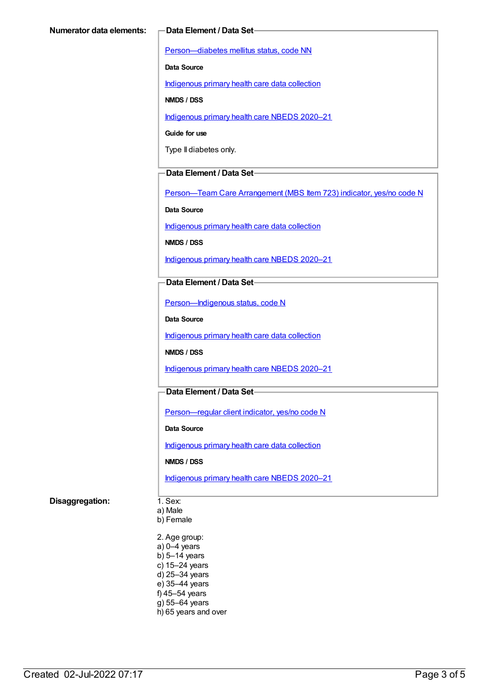[Person—diabetes](https://meteor.aihw.gov.au/content/270194) mellitus status, code NN

**Data Source**

[Indigenous](https://meteor.aihw.gov.au/content/430643) primary health care data collection

**NMDS / DSS**

[Indigenous](https://meteor.aihw.gov.au/content/715320) primary health care NBEDS 2020–21

**Guide for use**

Type II diabetes only.

#### **Data Element / Data Set**

[Person—Team](https://meteor.aihw.gov.au/content/504991) Care Arrangement (MBS Item 723) indicator, yes/no code N

**Data Source**

[Indigenous](https://meteor.aihw.gov.au/content/430643) primary health care data collection

**NMDS / DSS**

[Indigenous](https://meteor.aihw.gov.au/content/715320) primary health care NBEDS 2020–21

#### **Data Element / Data Set**

[Person—Indigenous](https://meteor.aihw.gov.au/content/602543) status, code N

**Data Source**

[Indigenous](https://meteor.aihw.gov.au/content/430643) primary health care data collection

**NMDS / DSS**

[Indigenous](https://meteor.aihw.gov.au/content/715320) primary health care NBEDS 2020–21

### **Data Element / Data Set**

[Person—regular](https://meteor.aihw.gov.au/content/686291) client indicator, yes/no code N

**Data Source**

[Indigenous](https://meteor.aihw.gov.au/content/430643) primary health care data collection

**NMDS / DSS**

[Indigenous](https://meteor.aihw.gov.au/content/715320) primary health care NBEDS 2020–21

#### **Disaggregation:** 1. Sex:

a) Male

b) Female

2. Age group: a) 0–4 years b) 5–14 years c) 15–24 years d) 25–34 years e) 35–44 years f) 45–54 years g) 55–64 years h) 65 years and over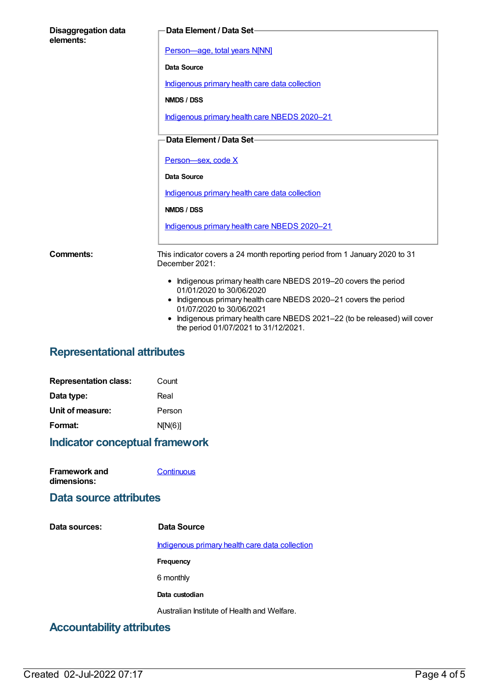| <b>Disaggregation data</b><br>elements: | Data Element / Data Set-                                                                                                                                                                                                                                                                                         |
|-----------------------------------------|------------------------------------------------------------------------------------------------------------------------------------------------------------------------------------------------------------------------------------------------------------------------------------------------------------------|
|                                         | Person-age, total years N[NN]                                                                                                                                                                                                                                                                                    |
|                                         | Data Source                                                                                                                                                                                                                                                                                                      |
|                                         | Indigenous primary health care data collection                                                                                                                                                                                                                                                                   |
|                                         | NMDS / DSS                                                                                                                                                                                                                                                                                                       |
|                                         | Indigenous primary health care NBEDS 2020-21                                                                                                                                                                                                                                                                     |
|                                         | Data Element / Data Set-                                                                                                                                                                                                                                                                                         |
|                                         |                                                                                                                                                                                                                                                                                                                  |
|                                         | Person-sex, code X                                                                                                                                                                                                                                                                                               |
|                                         | <b>Data Source</b>                                                                                                                                                                                                                                                                                               |
|                                         | Indigenous primary health care data collection                                                                                                                                                                                                                                                                   |
|                                         | NMDS / DSS                                                                                                                                                                                                                                                                                                       |
|                                         | Indigenous primary health care NBEDS 2020-21                                                                                                                                                                                                                                                                     |
| Comments:                               | This indicator covers a 24 month reporting period from 1 January 2020 to 31<br>December 2021:                                                                                                                                                                                                                    |
|                                         | • Indigenous primary health care NBEDS 2019-20 covers the period<br>01/01/2020 to 30/06/2020<br>• Indigenous primary health care NBEDS 2020-21 covers the period<br>01/07/2020 to 30/06/2021<br>Indigenous primary health care NBEDS 2021-22 (to be released) will cover<br>the period 01/07/2021 to 31/12/2021. |

# **Representational attributes**

| <b>Representation class:</b> | Count   |
|------------------------------|---------|
| Data type:                   | Real    |
| Unit of measure:             | Person  |
| Format:                      | N[N(6)] |

# **Indicator conceptual framework**

| <b>Framework and</b> | Continuous |
|----------------------|------------|
| dimensions:          |            |

### **Data source attributes**

| Data sources:                       | Data Source                                    |
|-------------------------------------|------------------------------------------------|
|                                     | Indigenous primary health care data collection |
|                                     | Frequency                                      |
|                                     | 6 monthly                                      |
|                                     | Data custodian                                 |
|                                     | Australian Institute of Health and Welfare.    |
| لمماس والسلام عريانا المالمة ويتممك |                                                |

# **Accountability attributes**